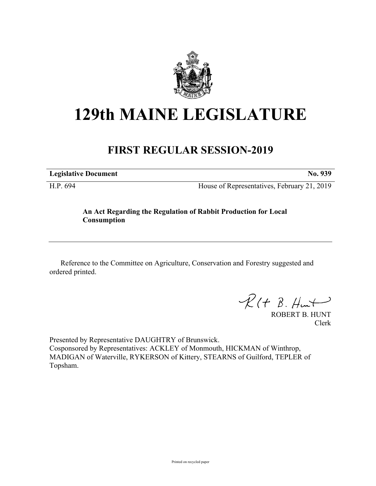

## **129th MAINE LEGISLATURE**

## **FIRST REGULAR SESSION-2019**

**Legislative Document No. 939**

H.P. 694 House of Representatives, February 21, 2019

## **An Act Regarding the Regulation of Rabbit Production for Local Consumption**

Reference to the Committee on Agriculture, Conservation and Forestry suggested and ordered printed.

 $\mathcal{R}(t \; \mathcal{B}, \mathcal{H}_{\mathsf{int}})$ 

ROBERT B. HUNT Clerk

Presented by Representative DAUGHTRY of Brunswick. Cosponsored by Representatives: ACKLEY of Monmouth, HICKMAN of Winthrop, MADIGAN of Waterville, RYKERSON of Kittery, STEARNS of Guilford, TEPLER of Topsham.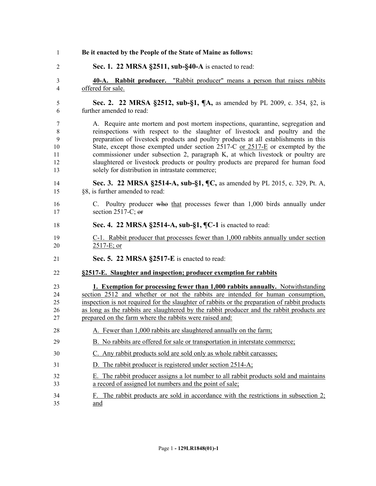| 1                                         | Be it enacted by the People of the State of Maine as follows:                                                                                                                                                                                                                                                                                                                                                                                                                                                                                                          |
|-------------------------------------------|------------------------------------------------------------------------------------------------------------------------------------------------------------------------------------------------------------------------------------------------------------------------------------------------------------------------------------------------------------------------------------------------------------------------------------------------------------------------------------------------------------------------------------------------------------------------|
| 2                                         | Sec. 1. 22 MRSA §2511, sub-§40-A is enacted to read:                                                                                                                                                                                                                                                                                                                                                                                                                                                                                                                   |
| 3<br>4                                    | <b>40-A.</b> Rabbit producer. "Rabbit producer" means a person that raises rabbits<br>offered for sale.                                                                                                                                                                                                                                                                                                                                                                                                                                                                |
| 5<br>6                                    | Sec. 2. 22 MRSA §2512, sub-§1, ¶A, as amended by PL 2009, c. 354, §2, is<br>further amended to read:                                                                                                                                                                                                                                                                                                                                                                                                                                                                   |
| 7<br>$\,8\,$<br>9<br>10<br>11<br>12<br>13 | A. Require ante mortem and post mortem inspections, quarantine, segregation and<br>reinspections with respect to the slaughter of livestock and poultry and the<br>preparation of livestock products and poultry products at all establishments in this<br>State, except those exempted under section 2517-C or $2517-E$ or exempted by the<br>commissioner under subsection 2, paragraph K, at which livestock or poultry are<br>slaughtered or livestock products or poultry products are prepared for human food<br>solely for distribution in intrastate commerce; |
| 14<br>15                                  | Sec. 3. 22 MRSA §2514-A, sub-§1, ¶C, as amended by PL 2015, c. 329, Pt. A,<br>§8, is further amended to read:                                                                                                                                                                                                                                                                                                                                                                                                                                                          |
| 16<br>17                                  | C. Poultry producer who that processes fewer than 1,000 birds annually under<br>section 2517-C; $\theta$                                                                                                                                                                                                                                                                                                                                                                                                                                                               |
| 18                                        | Sec. 4. 22 MRSA §2514-A, sub-§1, ¶C-1 is enacted to read:                                                                                                                                                                                                                                                                                                                                                                                                                                                                                                              |
| 19<br>20                                  | C-1. Rabbit producer that processes fewer than 1,000 rabbits annually under section<br>$2517-E$ ; or                                                                                                                                                                                                                                                                                                                                                                                                                                                                   |
| 21                                        | Sec. 5. 22 MRSA §2517-E is enacted to read:                                                                                                                                                                                                                                                                                                                                                                                                                                                                                                                            |
| 22                                        | §2517-E. Slaughter and inspection; producer exemption for rabbits                                                                                                                                                                                                                                                                                                                                                                                                                                                                                                      |
| 23<br>24<br>25<br>26<br>27                | <b>1. Exemption for processing fewer than 1,000 rabbits annually.</b> Notwithstanding<br>section 2512 and whether or not the rabbits are intended for human consumption,<br>inspection is not required for the slaughter of rabbits or the preparation of rabbit products<br>as long as the rabbits are slaughtered by the rabbit producer and the rabbit products are<br>prepared on the farm where the rabbits were raised and:                                                                                                                                      |
| 28                                        | A. Fewer than 1,000 rabbits are slaughtered annually on the farm;                                                                                                                                                                                                                                                                                                                                                                                                                                                                                                      |
| 29                                        | B. No rabbits are offered for sale or transportation in interstate commerce;                                                                                                                                                                                                                                                                                                                                                                                                                                                                                           |
| 30                                        | C. Any rabbit products sold are sold only as whole rabbit carcasses;                                                                                                                                                                                                                                                                                                                                                                                                                                                                                                   |
| 31                                        | D. The rabbit producer is registered under section $2514-A$ ;                                                                                                                                                                                                                                                                                                                                                                                                                                                                                                          |
| 32<br>33                                  | The rabbit producer assigns a lot number to all rabbit products sold and maintains<br>Е.<br>a record of assigned lot numbers and the point of sale;                                                                                                                                                                                                                                                                                                                                                                                                                    |
| 34<br>35                                  | F. The rabbit products are sold in accordance with the restrictions in subsection $2$ .<br>and                                                                                                                                                                                                                                                                                                                                                                                                                                                                         |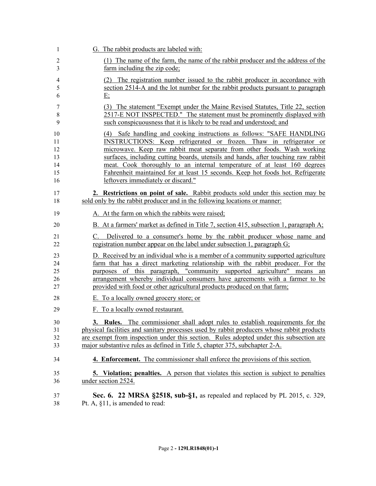| 1                                      | G. The rabbit products are labeled with:                                                                                                                                                                                                                                                                                                                                                                                                                                                                           |
|----------------------------------------|--------------------------------------------------------------------------------------------------------------------------------------------------------------------------------------------------------------------------------------------------------------------------------------------------------------------------------------------------------------------------------------------------------------------------------------------------------------------------------------------------------------------|
| $\overline{2}$                         | (1) The name of the farm, the name of the rabbit producer and the address of the                                                                                                                                                                                                                                                                                                                                                                                                                                   |
| 3                                      | farm including the zip code;                                                                                                                                                                                                                                                                                                                                                                                                                                                                                       |
| 4                                      | (2) The registration number issued to the rabbit producer in accordance with                                                                                                                                                                                                                                                                                                                                                                                                                                       |
| 5                                      | section 2514-A and the lot number for the rabbit products pursuant to paragraph                                                                                                                                                                                                                                                                                                                                                                                                                                    |
| 6                                      | E                                                                                                                                                                                                                                                                                                                                                                                                                                                                                                                  |
| 7                                      | (3) The statement "Exempt under the Maine Revised Statutes, Title 22, section                                                                                                                                                                                                                                                                                                                                                                                                                                      |
| 8                                      | 2517-E NOT INSPECTED." The statement must be prominently displayed with                                                                                                                                                                                                                                                                                                                                                                                                                                            |
| 9                                      | such conspicuousness that it is likely to be read and understood; and                                                                                                                                                                                                                                                                                                                                                                                                                                              |
| 10<br>11<br>12<br>13<br>14<br>15<br>16 | Safe handling and cooking instructions as follows: "SAFE HANDLING<br>(4)<br>INSTRUCTIONS: Keep refrigerated or frozen. Thaw in refrigerator or<br>microwave. Keep raw rabbit meat separate from other foods. Wash working<br>surfaces, including cutting boards, utensils and hands, after touching raw rabbit<br>meat. Cook thoroughly to an internal temperature of at least 160 degrees<br>Fahrenheit maintained for at least 15 seconds. Keep hot foods hot. Refrigerate<br>leftovers immediately or discard." |
| 17                                     | 2. Restrictions on point of sale. Rabbit products sold under this section may be                                                                                                                                                                                                                                                                                                                                                                                                                                   |
| 18                                     | sold only by the rabbit producer and in the following locations or manner:                                                                                                                                                                                                                                                                                                                                                                                                                                         |
| 19                                     | A. At the farm on which the rabbits were raised;                                                                                                                                                                                                                                                                                                                                                                                                                                                                   |
| 20                                     | B. At a farmers' market as defined in Title 7, section 415, subsection 1, paragraph $A$ ;                                                                                                                                                                                                                                                                                                                                                                                                                          |
| 21                                     | C. Delivered to a consumer's home by the rabbit producer whose name and                                                                                                                                                                                                                                                                                                                                                                                                                                            |
| 22                                     | registration number appear on the label under subsection 1, paragraph G;                                                                                                                                                                                                                                                                                                                                                                                                                                           |
| 23                                     | D. Received by an individual who is a member of a community supported agriculture                                                                                                                                                                                                                                                                                                                                                                                                                                  |
| 24                                     | farm that has a direct marketing relationship with the rabbit producer. For the                                                                                                                                                                                                                                                                                                                                                                                                                                    |
| 25                                     | purposes of this paragraph, "community supported agriculture" means an                                                                                                                                                                                                                                                                                                                                                                                                                                             |
| 26                                     | arrangement whereby individual consumers have agreements with a farmer to be                                                                                                                                                                                                                                                                                                                                                                                                                                       |
| 27                                     | provided with food or other agricultural products produced on that farm;                                                                                                                                                                                                                                                                                                                                                                                                                                           |
| 28                                     | E. To a locally owned grocery store; or                                                                                                                                                                                                                                                                                                                                                                                                                                                                            |
| 29                                     | F. To a locally owned restaurant.                                                                                                                                                                                                                                                                                                                                                                                                                                                                                  |
| 30<br>31<br>32<br>33                   | 3.<br><b>Rules.</b><br>The commissioner shall adopt rules to establish requirements for the<br>physical facilities and sanitary processes used by rabbit producers whose rabbit products<br>are exempt from inspection under this section. Rules adopted under this subsection are<br>major substantive rules as defined in Title 5, chapter 375, subchapter 2-A.                                                                                                                                                  |
| 34                                     | <b>4. Enforcement.</b> The commissioner shall enforce the provisions of this section.                                                                                                                                                                                                                                                                                                                                                                                                                              |
| 35                                     | <b>5.</b> Violation; penalties. A person that violates this section is subject to penalties                                                                                                                                                                                                                                                                                                                                                                                                                        |
| 36                                     | under section 2524.                                                                                                                                                                                                                                                                                                                                                                                                                                                                                                |
| 37                                     | Sec. 6. 22 MRSA §2518, sub-§1, as repealed and replaced by PL 2015, c. 329,                                                                                                                                                                                                                                                                                                                                                                                                                                        |
| 38                                     | Pt. A, §11, is amended to read:                                                                                                                                                                                                                                                                                                                                                                                                                                                                                    |